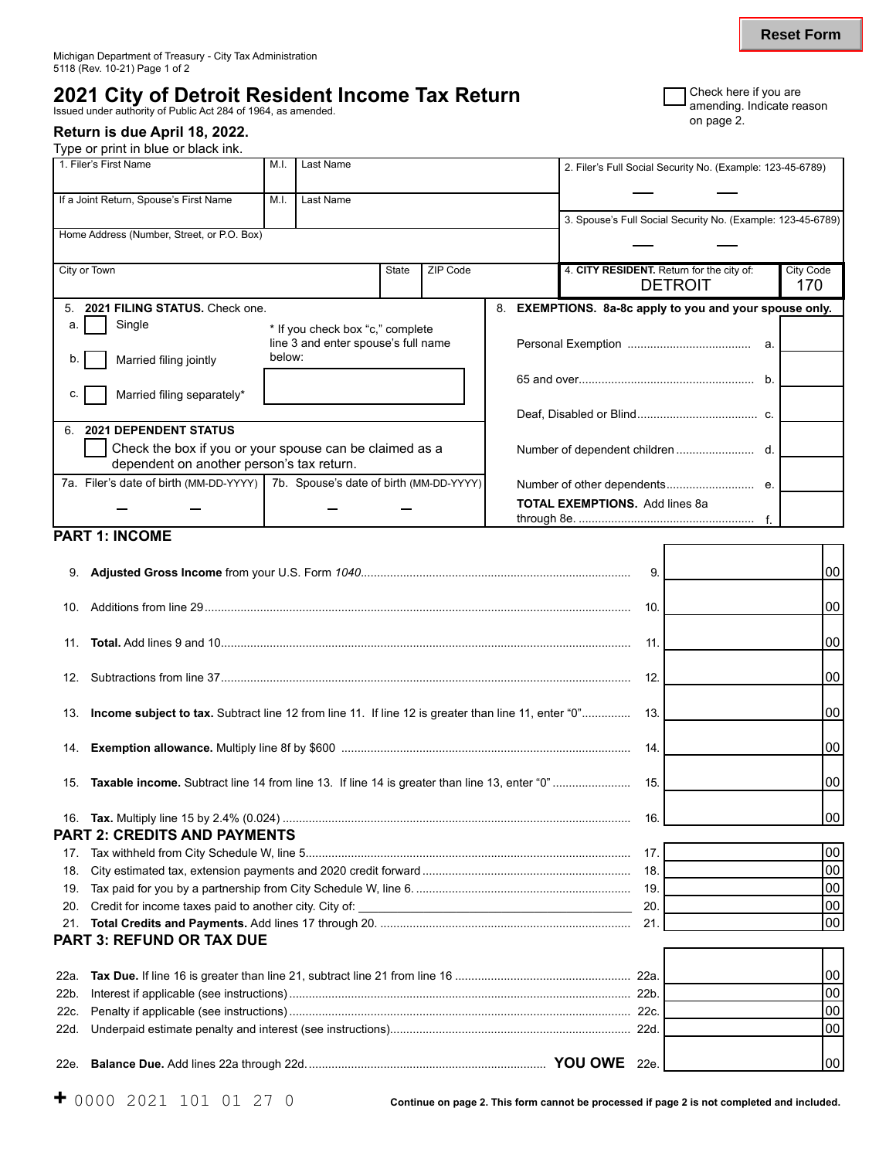# **2021 City of Detroit Resident Income Tax Return State of Act and Several University of Public Act 284 of 1964, as amended. and a smaller authority of Public Act 284 of 1964, as amended. and page 2. on page 2.**

## **Return is due April 18, 2022.**

Type or print in blue or black ink.

| 1. Filer's First Name                                                            | M.I.                             | Last Name                           |              |          |                                                             | 2. Filer's Full Social Security No. (Example: 123-45-6789)  |                  |
|----------------------------------------------------------------------------------|----------------------------------|-------------------------------------|--------------|----------|-------------------------------------------------------------|-------------------------------------------------------------|------------------|
| If a Joint Return, Spouse's First Name                                           | M.I.                             | Last Name                           |              |          |                                                             |                                                             |                  |
|                                                                                  |                                  |                                     |              |          |                                                             | 3. Spouse's Full Social Security No. (Example: 123-45-6789) |                  |
| Home Address (Number, Street, or P.O. Box)                                       |                                  |                                     |              |          |                                                             |                                                             |                  |
| City or Town                                                                     |                                  |                                     | <b>State</b> | ZIP Code |                                                             | 4. CITY RESIDENT. Return for the city of:                   | <b>City Code</b> |
|                                                                                  |                                  |                                     |              |          |                                                             | <b>DETROIT</b>                                              | 170              |
| 2021 FILING STATUS, Check one.                                                   |                                  |                                     |              | 8.       | <b>EXEMPTIONS.</b> 8a-8c apply to you and your spouse only. |                                                             |                  |
| Single                                                                           | * If you check box "c," complete |                                     |              |          |                                                             |                                                             |                  |
|                                                                                  |                                  | line 3 and enter spouse's full name |              |          |                                                             |                                                             |                  |
| Married filing jointly<br>b.                                                     | below:                           |                                     |              |          |                                                             |                                                             |                  |
|                                                                                  |                                  |                                     |              |          |                                                             |                                                             |                  |
| Married filing separately*<br>C.                                                 |                                  |                                     |              |          |                                                             |                                                             |                  |
|                                                                                  |                                  |                                     |              |          |                                                             |                                                             |                  |
| <b>2021 DEPENDENT STATUS</b><br>6                                                |                                  |                                     |              |          |                                                             |                                                             |                  |
| Check the box if you or your spouse can be claimed as a                          |                                  |                                     |              |          |                                                             |                                                             |                  |
| dependent on another person's tax return.                                        |                                  |                                     |              |          |                                                             |                                                             |                  |
| 7a. Filer's date of birth (MM-DD-YYYY)   7b. Spouse's date of birth (MM-DD-YYYY) |                                  |                                     |              |          |                                                             |                                                             |                  |
|                                                                                  |                                  |                                     |              |          |                                                             | <b>TOTAL EXEMPTIONS.</b> Add lines 8a                       |                  |
|                                                                                  |                                  |                                     |              |          |                                                             |                                                             |                  |

## **PART 1: INCOME**

| 9.   |                                                                                                         | 9.  | 00 |
|------|---------------------------------------------------------------------------------------------------------|-----|----|
| 10.  |                                                                                                         | 10. | 00 |
| 11.  |                                                                                                         | 11. | 00 |
| 12.  |                                                                                                         | 12. | 00 |
|      | 13. Income subject to tax. Subtract line 12 from line 11. If line 12 is greater than line 11, enter "0" | 13. | 00 |
| 14.  |                                                                                                         | 14. | 00 |
| 15.  | Taxable income. Subtract line 14 from line 13. If line 14 is greater than line 13, enter "0"            | 15. | 00 |
|      | <b>PART 2: CREDITS AND PAYMENTS</b>                                                                     | 16. | 00 |
| 17.  |                                                                                                         | 17. | 00 |
| 18.  |                                                                                                         | 18. | 00 |
| 19.  |                                                                                                         | 19. | 00 |
| 20.  |                                                                                                         | 20. | 00 |
|      |                                                                                                         | 21. | 00 |
|      | <b>PART 3: REFUND OR TAX DUE</b>                                                                        |     |    |
|      |                                                                                                         |     |    |
| 22a. |                                                                                                         |     | 00 |
| 22b. |                                                                                                         |     | 00 |
| 22c. |                                                                                                         |     | 00 |
| 22d. |                                                                                                         |     | 00 |
|      |                                                                                                         |     | 00 |

**Reset Form**